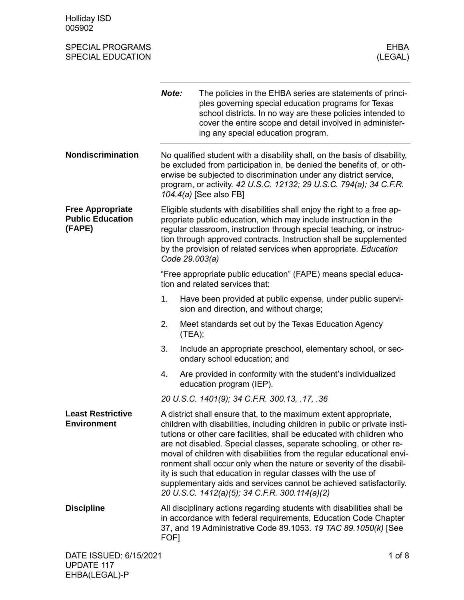Holliday ISD 005902

| <b>SPECIAL PROGRAMS</b><br><b>SPECIAL EDUCATION</b>          |       | <b>EHBA</b><br>(LEGAL)                                                                                                                                                                                                                                                                                                                                                                                                                                                                                                                                                                                                                   |
|--------------------------------------------------------------|-------|------------------------------------------------------------------------------------------------------------------------------------------------------------------------------------------------------------------------------------------------------------------------------------------------------------------------------------------------------------------------------------------------------------------------------------------------------------------------------------------------------------------------------------------------------------------------------------------------------------------------------------------|
|                                                              | Note: | The policies in the EHBA series are statements of princi-<br>ples governing special education programs for Texas<br>school districts. In no way are these policies intended to<br>cover the entire scope and detail involved in administer-<br>ing any special education program.                                                                                                                                                                                                                                                                                                                                                        |
| Nondiscrimination                                            |       | No qualified student with a disability shall, on the basis of disability,<br>be excluded from participation in, be denied the benefits of, or oth-<br>erwise be subjected to discrimination under any district service,<br>program, or activity. 42 U.S.C. 12132; 29 U.S.C. 794(a); 34 C.F.R.<br>104.4(a) [See also FB]                                                                                                                                                                                                                                                                                                                  |
| <b>Free Appropriate</b><br><b>Public Education</b><br>(FAPE) |       | Eligible students with disabilities shall enjoy the right to a free ap-<br>propriate public education, which may include instruction in the<br>regular classroom, instruction through special teaching, or instruc-<br>tion through approved contracts. Instruction shall be supplemented<br>by the provision of related services when appropriate. Education<br>Code 29.003(a)                                                                                                                                                                                                                                                          |
|                                                              |       | "Free appropriate public education" (FAPE) means special educa-<br>tion and related services that:                                                                                                                                                                                                                                                                                                                                                                                                                                                                                                                                       |
|                                                              | 1.    | Have been provided at public expense, under public supervi-<br>sion and direction, and without charge;                                                                                                                                                                                                                                                                                                                                                                                                                                                                                                                                   |
|                                                              | 2.    | Meet standards set out by the Texas Education Agency<br>(TEA);                                                                                                                                                                                                                                                                                                                                                                                                                                                                                                                                                                           |
|                                                              | 3.    | Include an appropriate preschool, elementary school, or sec-<br>ondary school education; and                                                                                                                                                                                                                                                                                                                                                                                                                                                                                                                                             |
|                                                              | 4.    | Are provided in conformity with the student's individualized<br>education program (IEP).                                                                                                                                                                                                                                                                                                                                                                                                                                                                                                                                                 |
|                                                              |       | 20 U.S.C. 1401(9); 34 C.F.R. 300.13, .17, .36                                                                                                                                                                                                                                                                                                                                                                                                                                                                                                                                                                                            |
| <b>Least Restrictive</b><br><b>Environment</b>               |       | A district shall ensure that, to the maximum extent appropriate,<br>children with disabilities, including children in public or private insti-<br>tutions or other care facilities, shall be educated with children who<br>are not disabled. Special classes, separate schooling, or other re-<br>moval of children with disabilities from the regular educational envi-<br>ronment shall occur only when the nature or severity of the disabil-<br>ity is such that education in regular classes with the use of<br>supplementary aids and services cannot be achieved satisfactorily.<br>20 U.S.C. 1412(a)(5); 34 C.F.R. 300.114(a)(2) |
| <b>Discipline</b>                                            | FOF1  | All disciplinary actions regarding students with disabilities shall be<br>in accordance with federal requirements, Education Code Chapter<br>37, and 19 Administrative Code 89.1053. 19 TAC 89.1050(k) [See                                                                                                                                                                                                                                                                                                                                                                                                                              |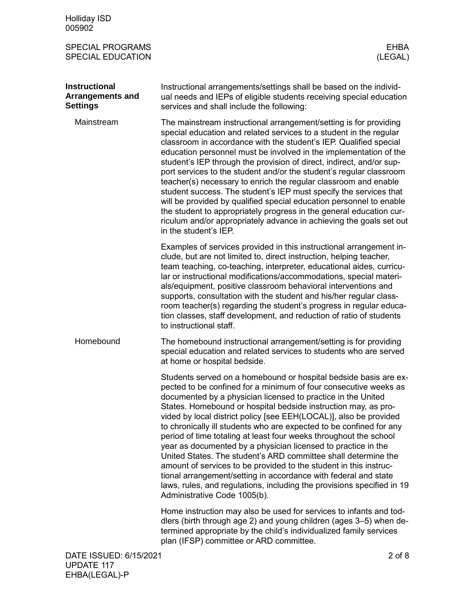| <b>Holliday ISD</b><br>005902                                      |                                                                                                                                                                                                                                                                                                                                                                                                                                                                                                                                                                                                                                                                                                                                                                                                                                                                              |
|--------------------------------------------------------------------|------------------------------------------------------------------------------------------------------------------------------------------------------------------------------------------------------------------------------------------------------------------------------------------------------------------------------------------------------------------------------------------------------------------------------------------------------------------------------------------------------------------------------------------------------------------------------------------------------------------------------------------------------------------------------------------------------------------------------------------------------------------------------------------------------------------------------------------------------------------------------|
| <b>SPECIAL PROGRAMS</b><br><b>SPECIAL EDUCATION</b>                | <b>EHBA</b><br>(LEGAL)                                                                                                                                                                                                                                                                                                                                                                                                                                                                                                                                                                                                                                                                                                                                                                                                                                                       |
| <b>Instructional</b><br><b>Arrangements and</b><br><b>Settings</b> | Instructional arrangements/settings shall be based on the individ-<br>ual needs and IEPs of eligible students receiving special education<br>services and shall include the following:                                                                                                                                                                                                                                                                                                                                                                                                                                                                                                                                                                                                                                                                                       |
| Mainstream                                                         | The mainstream instructional arrangement/setting is for providing<br>special education and related services to a student in the regular<br>classroom in accordance with the student's IEP. Qualified special<br>education personnel must be involved in the implementation of the<br>student's IEP through the provision of direct, indirect, and/or sup-<br>port services to the student and/or the student's regular classroom<br>teacher(s) necessary to enrich the regular classroom and enable<br>student success. The student's IEP must specify the services that<br>will be provided by qualified special education personnel to enable<br>the student to appropriately progress in the general education cur-<br>riculum and/or appropriately advance in achieving the goals set out<br>in the student's IEP.                                                       |
|                                                                    | Examples of services provided in this instructional arrangement in-<br>clude, but are not limited to, direct instruction, helping teacher,<br>team teaching, co-teaching, interpreter, educational aides, curricu-<br>lar or instructional modifications/accommodations, special materi-<br>als/equipment, positive classroom behavioral interventions and<br>supports, consultation with the student and his/her regular class-<br>room teacher(s) regarding the student's progress in regular educa-<br>tion classes, staff development, and reduction of ratio of students<br>to instructional staff.                                                                                                                                                                                                                                                                     |
| Homebound                                                          | The homebound instructional arrangement/setting is for providing<br>special education and related services to students who are served<br>at home or hospital bedside.                                                                                                                                                                                                                                                                                                                                                                                                                                                                                                                                                                                                                                                                                                        |
|                                                                    | Students served on a homebound or hospital bedside basis are ex-<br>pected to be confined for a minimum of four consecutive weeks as<br>documented by a physician licensed to practice in the United<br>States. Homebound or hospital bedside instruction may, as pro-<br>vided by local district policy [see EEH(LOCAL)], also be provided<br>to chronically ill students who are expected to be confined for any<br>period of time totaling at least four weeks throughout the school<br>year as documented by a physician licensed to practice in the<br>United States. The student's ARD committee shall determine the<br>amount of services to be provided to the student in this instruc-<br>tional arrangement/setting in accordance with federal and state<br>laws, rules, and regulations, including the provisions specified in 19<br>Administrative Code 1005(b). |
|                                                                    | Home instruction may also be used for services to infants and tod-<br>dlers (birth through age 2) and young children (ages 3-5) when de-<br>termined appropriate by the child's individualized family services<br>plan (IFSP) committee or ARD committee.                                                                                                                                                                                                                                                                                                                                                                                                                                                                                                                                                                                                                    |
| DATE ISSUED: 6/15/2021                                             | $2$ of $8$                                                                                                                                                                                                                                                                                                                                                                                                                                                                                                                                                                                                                                                                                                                                                                                                                                                                   |

UPDATE 117 EHBA(LEGAL)-P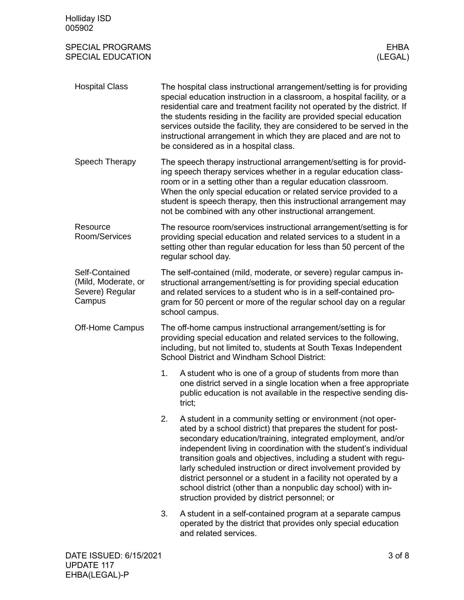| <b>Holliday ISD</b><br>005902                                      |    |                                                                                                                                                                                                                                                                                                                                                                                                                                                                                                                                                                                        |
|--------------------------------------------------------------------|----|----------------------------------------------------------------------------------------------------------------------------------------------------------------------------------------------------------------------------------------------------------------------------------------------------------------------------------------------------------------------------------------------------------------------------------------------------------------------------------------------------------------------------------------------------------------------------------------|
| <b>SPECIAL PROGRAMS</b><br><b>SPECIAL EDUCATION</b>                |    | <b>EHBA</b><br>(LEGAL)                                                                                                                                                                                                                                                                                                                                                                                                                                                                                                                                                                 |
| <b>Hospital Class</b>                                              |    | The hospital class instructional arrangement/setting is for providing<br>special education instruction in a classroom, a hospital facility, or a<br>residential care and treatment facility not operated by the district. If<br>the students residing in the facility are provided special education<br>services outside the facility, they are considered to be served in the<br>instructional arrangement in which they are placed and are not to<br>be considered as in a hospital class.                                                                                           |
| Speech Therapy                                                     |    | The speech therapy instructional arrangement/setting is for provid-<br>ing speech therapy services whether in a regular education class-<br>room or in a setting other than a regular education classroom.<br>When the only special education or related service provided to a<br>student is speech therapy, then this instructional arrangement may<br>not be combined with any other instructional arrangement.                                                                                                                                                                      |
| Resource<br>Room/Services                                          |    | The resource room/services instructional arrangement/setting is for<br>providing special education and related services to a student in a<br>setting other than regular education for less than 50 percent of the<br>regular school day.                                                                                                                                                                                                                                                                                                                                               |
| Self-Contained<br>(Mild, Moderate, or<br>Severe) Regular<br>Campus |    | The self-contained (mild, moderate, or severe) regular campus in-<br>structional arrangement/setting is for providing special education<br>and related services to a student who is in a self-contained pro-<br>gram for 50 percent or more of the regular school day on a regular<br>school campus.                                                                                                                                                                                                                                                                                   |
| Off-Home Campus                                                    |    | The off-home campus instructional arrangement/setting is for<br>providing special education and related services to the following,<br>including, but not limited to, students at South Texas Independent<br>School District and Windham School District:                                                                                                                                                                                                                                                                                                                               |
|                                                                    | 1. | A student who is one of a group of students from more than<br>one district served in a single location when a free appropriate<br>public education is not available in the respective sending dis-<br>trict;                                                                                                                                                                                                                                                                                                                                                                           |
|                                                                    | 2. | A student in a community setting or environment (not oper-<br>ated by a school district) that prepares the student for post-<br>secondary education/training, integrated employment, and/or<br>independent living in coordination with the student's individual<br>transition goals and objectives, including a student with regu-<br>larly scheduled instruction or direct involvement provided by<br>district personnel or a student in a facility not operated by a<br>school district (other than a nonpublic day school) with in-<br>struction provided by district personnel; or |
|                                                                    | 3. | A student in a self-contained program at a separate campus<br>operated by the district that provides only special education<br>and related services.                                                                                                                                                                                                                                                                                                                                                                                                                                   |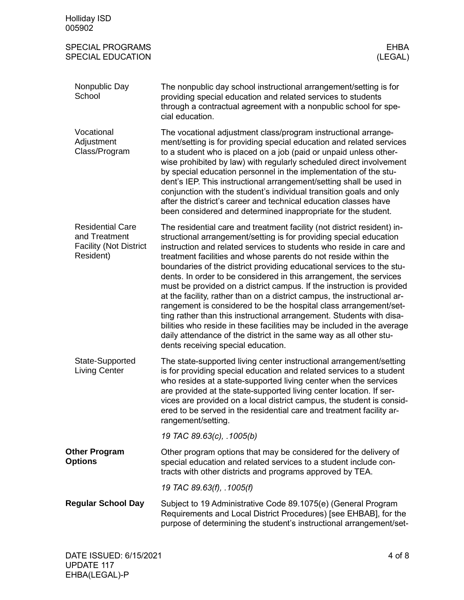| <b>Holliday ISD</b><br>005902                                                          |                                                                                                                                                                                                                                                                                                                                                                                                                                                                                                                                                                                                                                                                                                                                                                                                                                                                                                                                |
|----------------------------------------------------------------------------------------|--------------------------------------------------------------------------------------------------------------------------------------------------------------------------------------------------------------------------------------------------------------------------------------------------------------------------------------------------------------------------------------------------------------------------------------------------------------------------------------------------------------------------------------------------------------------------------------------------------------------------------------------------------------------------------------------------------------------------------------------------------------------------------------------------------------------------------------------------------------------------------------------------------------------------------|
| <b>SPECIAL PROGRAMS</b><br><b>SPECIAL EDUCATION</b>                                    | <b>EHBA</b><br>(LEGAL)                                                                                                                                                                                                                                                                                                                                                                                                                                                                                                                                                                                                                                                                                                                                                                                                                                                                                                         |
| Nonpublic Day<br>School                                                                | The nonpublic day school instructional arrangement/setting is for<br>providing special education and related services to students<br>through a contractual agreement with a nonpublic school for spe-<br>cial education.                                                                                                                                                                                                                                                                                                                                                                                                                                                                                                                                                                                                                                                                                                       |
| Vocational<br>Adjustment<br>Class/Program                                              | The vocational adjustment class/program instructional arrange-<br>ment/setting is for providing special education and related services<br>to a student who is placed on a job (paid or unpaid unless other-<br>wise prohibited by law) with regularly scheduled direct involvement<br>by special education personnel in the implementation of the stu-<br>dent's IEP. This instructional arrangement/setting shall be used in<br>conjunction with the student's individual transition goals and only<br>after the district's career and technical education classes have<br>been considered and determined inappropriate for the student.                                                                                                                                                                                                                                                                                      |
| <b>Residential Care</b><br>and Treatment<br><b>Facility (Not District</b><br>Resident) | The residential care and treatment facility (not district resident) in-<br>structional arrangement/setting is for providing special education<br>instruction and related services to students who reside in care and<br>treatment facilities and whose parents do not reside within the<br>boundaries of the district providing educational services to the stu-<br>dents. In order to be considered in this arrangement, the services<br>must be provided on a district campus. If the instruction is provided<br>at the facility, rather than on a district campus, the instructional ar-<br>rangement is considered to be the hospital class arrangement/set-<br>ting rather than this instructional arrangement. Students with disa-<br>bilities who reside in these facilities may be included in the average<br>daily attendance of the district in the same way as all other stu-<br>dents receiving special education. |
| State-Supported<br><b>Living Center</b>                                                | The state-supported living center instructional arrangement/setting<br>is for providing special education and related services to a student<br>who resides at a state-supported living center when the services<br>are provided at the state-supported living center location. If ser-<br>vices are provided on a local district campus, the student is consid-<br>ered to be served in the residential care and treatment facility ar-<br>rangement/setting.                                                                                                                                                                                                                                                                                                                                                                                                                                                                  |
|                                                                                        | 19 TAC 89.63(c), .1005(b)                                                                                                                                                                                                                                                                                                                                                                                                                                                                                                                                                                                                                                                                                                                                                                                                                                                                                                      |
| <b>Other Program</b><br><b>Options</b>                                                 | Other program options that may be considered for the delivery of<br>special education and related services to a student include con-<br>tracts with other districts and programs approved by TEA.                                                                                                                                                                                                                                                                                                                                                                                                                                                                                                                                                                                                                                                                                                                              |
|                                                                                        | 19 TAC 89.63(f), .1005(f)                                                                                                                                                                                                                                                                                                                                                                                                                                                                                                                                                                                                                                                                                                                                                                                                                                                                                                      |
| <b>Regular School Day</b>                                                              | Subject to 19 Administrative Code 89.1075(e) (General Program<br>Requirements and Local District Procedures) [see EHBAB], for the<br>purpose of determining the student's instructional arrangement/set-                                                                                                                                                                                                                                                                                                                                                                                                                                                                                                                                                                                                                                                                                                                       |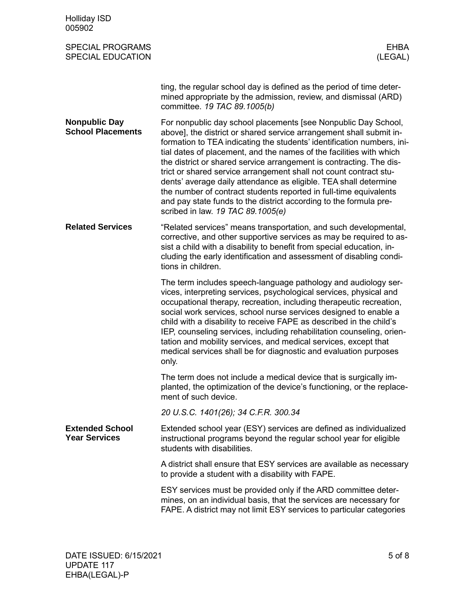| <b>Holliday ISD</b><br>005902                       |                                                                                                                                                                                                                                                                                                                                                                                                                                                                                                                                                                                                                                                                                       |
|-----------------------------------------------------|---------------------------------------------------------------------------------------------------------------------------------------------------------------------------------------------------------------------------------------------------------------------------------------------------------------------------------------------------------------------------------------------------------------------------------------------------------------------------------------------------------------------------------------------------------------------------------------------------------------------------------------------------------------------------------------|
| <b>SPECIAL PROGRAMS</b><br><b>SPECIAL EDUCATION</b> | <b>EHBA</b><br>(LEGAL)                                                                                                                                                                                                                                                                                                                                                                                                                                                                                                                                                                                                                                                                |
|                                                     | ting, the regular school day is defined as the period of time deter-<br>mined appropriate by the admission, review, and dismissal (ARD)<br>committee. 19 TAC 89.1005(b)                                                                                                                                                                                                                                                                                                                                                                                                                                                                                                               |
| <b>Nonpublic Day</b><br><b>School Placements</b>    | For nonpublic day school placements [see Nonpublic Day School,<br>above], the district or shared service arrangement shall submit in-<br>formation to TEA indicating the students' identification numbers, ini-<br>tial dates of placement, and the names of the facilities with which<br>the district or shared service arrangement is contracting. The dis-<br>trict or shared service arrangement shall not count contract stu-<br>dents' average daily attendance as eligible. TEA shall determine<br>the number of contract students reported in full-time equivalents<br>and pay state funds to the district according to the formula pre-<br>scribed in law. 19 TAC 89.1005(e) |
| <b>Related Services</b>                             | "Related services" means transportation, and such developmental,<br>corrective, and other supportive services as may be required to as-<br>sist a child with a disability to benefit from special education, in-<br>cluding the early identification and assessment of disabling condi-<br>tions in children.                                                                                                                                                                                                                                                                                                                                                                         |
|                                                     | The term includes speech-language pathology and audiology ser-<br>vices, interpreting services, psychological services, physical and<br>occupational therapy, recreation, including therapeutic recreation,<br>social work services, school nurse services designed to enable a<br>child with a disability to receive FAPE as described in the child's<br>IEP, counseling services, including rehabilitation counseling, orien-<br>tation and mobility services, and medical services, except that<br>medical services shall be for diagnostic and evaluation purposes<br>only.                                                                                                       |
|                                                     | The term does not include a medical device that is surgically im-<br>planted, the optimization of the device's functioning, or the replace-<br>ment of such device.                                                                                                                                                                                                                                                                                                                                                                                                                                                                                                                   |
|                                                     | 20 U.S.C. 1401(26); 34 C.F.R. 300.34                                                                                                                                                                                                                                                                                                                                                                                                                                                                                                                                                                                                                                                  |
| <b>Extended School</b><br><b>Year Services</b>      | Extended school year (ESY) services are defined as individualized<br>instructional programs beyond the regular school year for eligible<br>students with disabilities.                                                                                                                                                                                                                                                                                                                                                                                                                                                                                                                |
|                                                     | A district shall ensure that ESY services are available as necessary<br>to provide a student with a disability with FAPE.                                                                                                                                                                                                                                                                                                                                                                                                                                                                                                                                                             |
|                                                     | ESY services must be provided only if the ARD committee deter-<br>mines, on an individual basis, that the services are necessary for<br>FAPE. A district may not limit ESY services to particular categories                                                                                                                                                                                                                                                                                                                                                                                                                                                                          |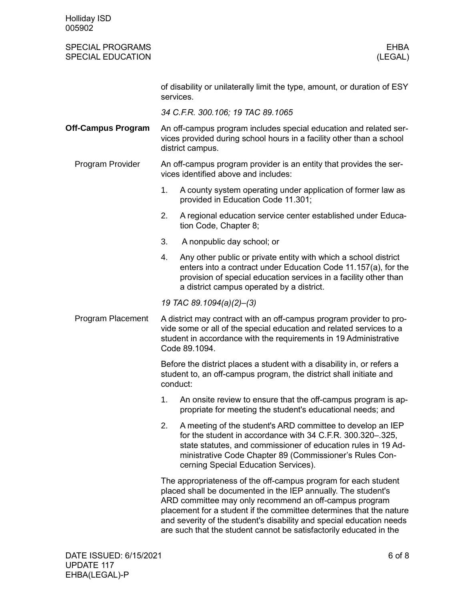| <b>Holliday ISD</b><br>005902                       |          |                                                                                                                                                                                                                                                                                                                                                                                                                |
|-----------------------------------------------------|----------|----------------------------------------------------------------------------------------------------------------------------------------------------------------------------------------------------------------------------------------------------------------------------------------------------------------------------------------------------------------------------------------------------------------|
| <b>SPECIAL PROGRAMS</b><br><b>SPECIAL EDUCATION</b> |          | <b>EHBA</b><br>(LEGAL)                                                                                                                                                                                                                                                                                                                                                                                         |
|                                                     |          | of disability or unilaterally limit the type, amount, or duration of ESY<br>services.                                                                                                                                                                                                                                                                                                                          |
|                                                     |          | 34 C.F.R. 300.106; 19 TAC 89.1065                                                                                                                                                                                                                                                                                                                                                                              |
| <b>Off-Campus Program</b>                           |          | An off-campus program includes special education and related ser-<br>vices provided during school hours in a facility other than a school<br>district campus.                                                                                                                                                                                                                                                  |
| Program Provider                                    |          | An off-campus program provider is an entity that provides the ser-<br>vices identified above and includes:                                                                                                                                                                                                                                                                                                     |
|                                                     | 1.       | A county system operating under application of former law as<br>provided in Education Code 11.301;                                                                                                                                                                                                                                                                                                             |
|                                                     | 2.       | A regional education service center established under Educa-<br>tion Code, Chapter 8;                                                                                                                                                                                                                                                                                                                          |
|                                                     | 3.       | A nonpublic day school; or                                                                                                                                                                                                                                                                                                                                                                                     |
|                                                     | 4.       | Any other public or private entity with which a school district<br>enters into a contract under Education Code 11.157(a), for the<br>provision of special education services in a facility other than<br>a district campus operated by a district.                                                                                                                                                             |
|                                                     |          | 19 TAC 89.1094(a)(2)-(3)                                                                                                                                                                                                                                                                                                                                                                                       |
| Program Placement                                   |          | A district may contract with an off-campus program provider to pro-<br>vide some or all of the special education and related services to a<br>student in accordance with the requirements in 19 Administrative<br>Code 89.1094.                                                                                                                                                                                |
|                                                     | conduct: | Before the district places a student with a disability in, or refers a<br>student to, an off-campus program, the district shall initiate and                                                                                                                                                                                                                                                                   |
|                                                     | 1.       | An onsite review to ensure that the off-campus program is ap-<br>propriate for meeting the student's educational needs; and                                                                                                                                                                                                                                                                                    |
|                                                     | 2.       | A meeting of the student's ARD committee to develop an IEP<br>for the student in accordance with 34 C.F.R. 300.320-.325,<br>state statutes, and commissioner of education rules in 19 Ad-<br>ministrative Code Chapter 89 (Commissioner's Rules Con-<br>cerning Special Education Services).                                                                                                                   |
|                                                     |          | The appropriateness of the off-campus program for each student<br>placed shall be documented in the IEP annually. The student's<br>ARD committee may only recommend an off-campus program<br>placement for a student if the committee determines that the nature<br>and severity of the student's disability and special education needs<br>are such that the student cannot be satisfactorily educated in the |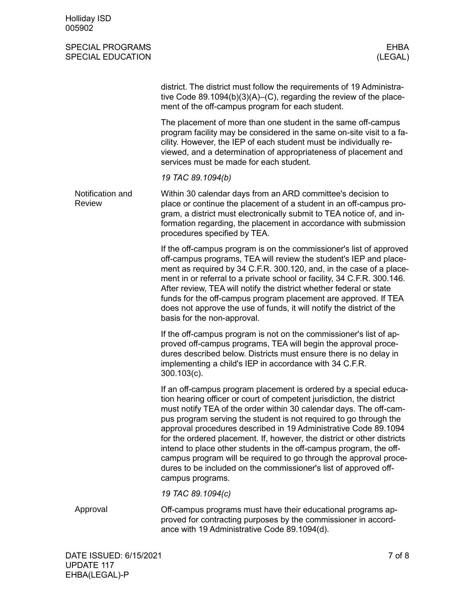| <b>Holliday ISD</b><br>005902                       |                                                                                                                                                                                                                                                                                                                                                                                                                                                                                                                                                                                                                                                                        |
|-----------------------------------------------------|------------------------------------------------------------------------------------------------------------------------------------------------------------------------------------------------------------------------------------------------------------------------------------------------------------------------------------------------------------------------------------------------------------------------------------------------------------------------------------------------------------------------------------------------------------------------------------------------------------------------------------------------------------------------|
| <b>SPECIAL PROGRAMS</b><br><b>SPECIAL EDUCATION</b> | <b>EHBA</b><br>(LEGAL)                                                                                                                                                                                                                                                                                                                                                                                                                                                                                                                                                                                                                                                 |
|                                                     | district. The district must follow the requirements of 19 Administra-<br>tive Code 89.1094(b)(3)(A)–(C), regarding the review of the place-<br>ment of the off-campus program for each student.                                                                                                                                                                                                                                                                                                                                                                                                                                                                        |
|                                                     | The placement of more than one student in the same off-campus<br>program facility may be considered in the same on-site visit to a fa-<br>cility. However, the IEP of each student must be individually re-<br>viewed, and a determination of appropriateness of placement and<br>services must be made for each student.                                                                                                                                                                                                                                                                                                                                              |
|                                                     | 19 TAC 89.1094(b)                                                                                                                                                                                                                                                                                                                                                                                                                                                                                                                                                                                                                                                      |
| Notification and<br><b>Review</b>                   | Within 30 calendar days from an ARD committee's decision to<br>place or continue the placement of a student in an off-campus pro-<br>gram, a district must electronically submit to TEA notice of, and in-<br>formation regarding, the placement in accordance with submission<br>procedures specified by TEA.                                                                                                                                                                                                                                                                                                                                                         |
|                                                     | If the off-campus program is on the commissioner's list of approved<br>off-campus programs, TEA will review the student's IEP and place-<br>ment as required by 34 C.F.R. 300.120, and, in the case of a place-<br>ment in or referral to a private school or facility, 34 C.F.R. 300.146.<br>After review, TEA will notify the district whether federal or state<br>funds for the off-campus program placement are approved. If TEA<br>does not approve the use of funds, it will notify the district of the<br>basis for the non-approval.                                                                                                                           |
|                                                     | If the off-campus program is not on the commissioner's list of ap-<br>proved off-campus programs, TEA will begin the approval proce-<br>dures described below. Districts must ensure there is no delay in<br>implementing a child's IEP in accordance with 34 C.F.R.<br>$300.103(c)$ .                                                                                                                                                                                                                                                                                                                                                                                 |
|                                                     | If an off-campus program placement is ordered by a special educa-<br>tion hearing officer or court of competent jurisdiction, the district<br>must notify TEA of the order within 30 calendar days. The off-cam-<br>pus program serving the student is not required to go through the<br>approval procedures described in 19 Administrative Code 89.1094<br>for the ordered placement. If, however, the district or other districts<br>intend to place other students in the off-campus program, the off-<br>campus program will be required to go through the approval proce-<br>dures to be included on the commissioner's list of approved off-<br>campus programs. |
|                                                     | 19 TAC 89.1094(c)                                                                                                                                                                                                                                                                                                                                                                                                                                                                                                                                                                                                                                                      |
| Approval                                            | Off-campus programs must have their educational programs ap-<br>proved for contracting purposes by the commissioner in accord-<br>ance with 19 Administrative Code 89.1094(d).                                                                                                                                                                                                                                                                                                                                                                                                                                                                                         |